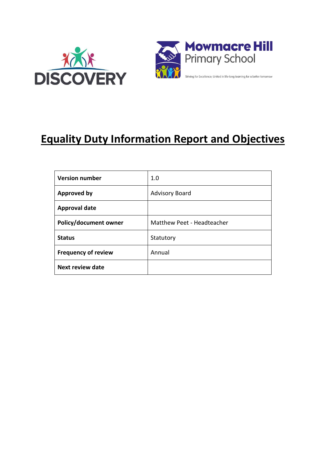



# **Equality Duty Information Report and Objectives**

| <b>Version number</b>      | 1.0                        |
|----------------------------|----------------------------|
| <b>Approved by</b>         | <b>Advisory Board</b>      |
| <b>Approval date</b>       |                            |
| Policy/document owner      | Matthew Peet - Headteacher |
| <b>Status</b>              | Statutory                  |
| <b>Frequency of review</b> | Annual                     |
| <b>Next review date</b>    |                            |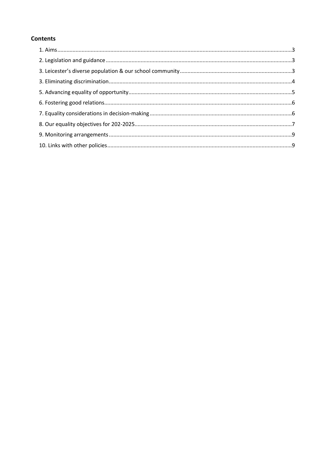## **Contents**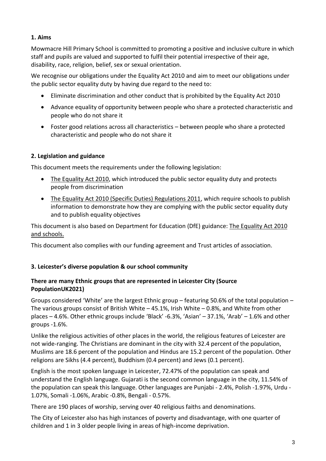# **1. Aims**

Mowmacre Hill Primary School is committed to promoting a positive and inclusive culture in which staff and pupils are valued and supported to fulfil their potential irrespective of their age, disability, race, religion, belief, sex or sexual orientation.

We recognise our obligations under the Equality Act 2010 and aim to meet our obligations under the public sector equality duty by having due regard to the need to:

- Eliminate discrimination and other conduct that is prohibited by the Equality Act 2010
- Advance equality of opportunity between people who share a protected characteristic and people who do not share it
- Foster good relations across all characteristics between people who share a protected characteristic and people who do not share it

# **2. Legislation and guidance**

This document meets the requirements under the following legislation:

- [The Equality Act 2010,](http://www.legislation.gov.uk/ukpga/2010/15/contents) which introduced the public sector equality duty and protects people from discrimination
- The [Equality Act 2010 \(Specific Duties\) Regulations 2011,](http://www.legislation.gov.uk/uksi/2011/2260/contents/made) which require schools to publish information to demonstrate how they are complying with the public sector equality duty and to publish equality objectives

This document is also based on Department for Education (DfE) guidance: [The Equality Act 2010](https://www.gov.uk/government/uploads/system/uploads/attachment_data/file/315587/Equality_Act_Advice_Final.pdf)  [and schools.](https://www.gov.uk/government/uploads/system/uploads/attachment_data/file/315587/Equality_Act_Advice_Final.pdf) 

This document also complies with our funding agreement and Trust articles of association.

# **3. Leicester's diverse population & our school community**

# **There are many Ethnic groups that are represented in Leicester City (Source PopulationUK2021)**

Groups considered 'White' are the largest Ethnic group – featuring 50.6% of the total population – The various groups consist of British White – 45.1%, Irish White – 0.8%, and White from other places – 4.6%. Other ethnic groups include 'Black' -6.3%, 'Asian' – 37.1%, 'Arab' – 1.6% and other groups -1.6%.

Unlike the religious activities of other places in the world, the religious features of Leicester are not wide-ranging. The Christians are dominant in the city with 32.4 percent of the population, Muslims are 18.6 percent of the population and Hindus are 15.2 percent of the population. Other religions are Sikhs (4.4 percent), Buddhism (0.4 percent) and Jews (0.1 percent).

English is the most spoken language in Leicester, 72.47% of the population can speak and understand the English language. Gujarati is the second common language in the city, 11.54% of the population can speak this language. Other languages are Punjabi - 2.4%, Polish -1.97%, Urdu - 1.07%, Somali -1.06%, Arabic -0.8%, Bengali - 0.57%.

There are 190 places of worship, serving over 40 religious faiths and denominations.

The City of Leicester also has high instances of poverty and disadvantage, with one quarter of children and 1 in 3 older people living in areas of high-income deprivation.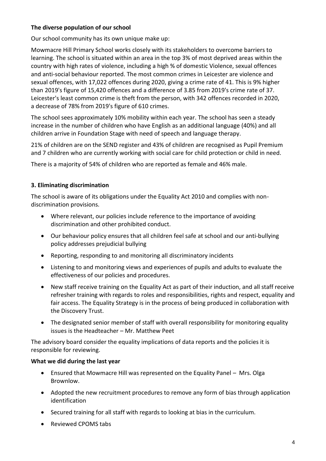# **The diverse population of our school**

Our school community has its own unique make up:

Mowmacre Hill Primary School works closely with its stakeholders to overcome barriers to learning. The school is situated within an area in the top 3% of most deprived areas within the country with high rates of violence, including a high % of domestic Violence, sexual offences and anti-social behaviour reported. The most common crimes in Leicester are violence and sexual offences, with 17,022 offences during 2020, giving a crime rate of 41. This is 9% higher than 2019's figure of 15,420 offences and a difference of 3.85 from 2019's crime rate of 37. Leicester's least common crime is theft from the person, with 342 offences recorded in 2020, a decrease of 78% from 2019's figure of 610 crimes.

The school sees approximately 10% mobility within each year. The school has seen a steady increase in the number of children who have English as an additional language (40%) and all children arrive in Foundation Stage with need of speech and language therapy.

21% of children are on the SEND register and 43% of children are recognised as Pupil Premium and 7 children who are currently working with social care for child protection or child in need.

There is a majority of 54% of children who are reported as female and 46% male.

# **3. Eliminating discrimination**

The school is aware of its obligations under the Equality Act 2010 and complies with nondiscrimination provisions.

- Where relevant, our policies include reference to the importance of avoiding discrimination and other prohibited conduct.
- Our behaviour policy ensures that all children feel safe at school and our anti-bullying policy addresses prejudicial bullying
- Reporting, responding to and monitoring all discriminatory incidents
- Listening to and monitoring views and experiences of pupils and adults to evaluate the effectiveness of our policies and procedures.
- New staff receive training on the Equality Act as part of their induction, and all staff receive refresher training with regards to roles and responsibilities, rights and respect, equality and fair access. The Equality Strategy is in the process of being produced in collaboration with the Discovery Trust.
- The designated senior member of staff with overall responsibility for monitoring equality issues is the Headteacher – Mr. Matthew Peet

The advisory board consider the equality implications of data reports and the policies it is responsible for reviewing.

#### **What we did during the last year**

- Ensured that Mowmacre Hill was represented on the Equality Panel Mrs. Olga Brownlow.
- Adopted the new recruitment procedures to remove any form of bias through application identification
- Secured training for all staff with regards to looking at bias in the curriculum.
- Reviewed CPOMS tabs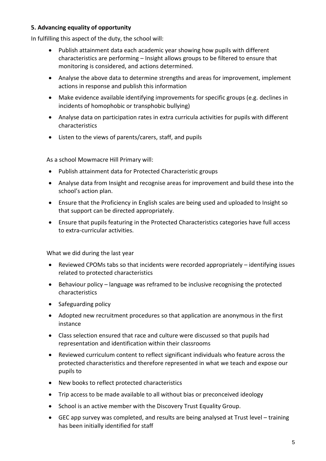# **5. Advancing equality of opportunity**

In fulfilling this aspect of the duty, the school will:

- Publish attainment data each academic year showing how pupils with different characteristics are performing – Insight allows groups to be filtered to ensure that monitoring is considered, and actions determined.
- Analyse the above data to determine strengths and areas for improvement, implement actions in response and publish this information
- Make evidence available identifying improvements for specific groups (e.g. declines in incidents of homophobic or transphobic bullying)
- Analyse data on participation rates in extra curricula activities for pupils with different characteristics
- Listen to the views of parents/carers, staff, and pupils

As a school Mowmacre Hill Primary will:

- Publish attainment data for Protected Characteristic groups
- Analyse data from Insight and recognise areas for improvement and build these into the school's action plan.
- Ensure that the Proficiency in English scales are being used and uploaded to Insight so that support can be directed appropriately.
- Ensure that pupils featuring in the Protected Characteristics categories have full access to extra-curricular activities.

What we did during the last year

- Reviewed CPOMs tabs so that incidents were recorded appropriately identifying issues related to protected characteristics
- Behaviour policy language was reframed to be inclusive recognising the protected characteristics
- Safeguarding policy
- Adopted new recruitment procedures so that application are anonymous in the first instance
- Class selection ensured that race and culture were discussed so that pupils had representation and identification within their classrooms
- Reviewed curriculum content to reflect significant individuals who feature across the protected characteristics and therefore represented in what we teach and expose our pupils to
- New books to reflect protected characteristics
- Trip access to be made available to all without bias or preconceived ideology
- School is an active member with the Discovery Trust Equality Group.
- GEC app survey was completed, and results are being analysed at Trust level training has been initially identified for staff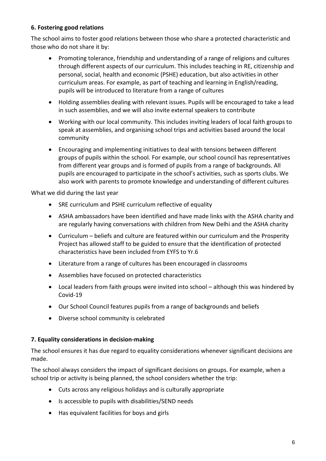# **6. Fostering good relations**

The school aims to foster good relations between those who share a protected characteristic and those who do not share it by:

- Promoting tolerance, friendship and understanding of a range of religions and cultures through different aspects of our curriculum. This includes teaching in RE, citizenship and personal, social, health and economic (PSHE) education, but also activities in other curriculum areas. For example, as part of teaching and learning in English/reading, pupils will be introduced to literature from a range of cultures
- Holding assemblies dealing with relevant issues. Pupils will be encouraged to take a lead in such assemblies, and we will also invite external speakers to contribute
- Working with our local community. This includes inviting leaders of local faith groups to speak at assemblies, and organising school trips and activities based around the local community
- Encouraging and implementing initiatives to deal with tensions between different groups of pupils within the school. For example, our school council has representatives from different year groups and is formed of pupils from a range of backgrounds. All pupils are encouraged to participate in the school's activities, such as sports clubs. We also work with parents to promote knowledge and understanding of different cultures

What we did during the last year

- SRE curriculum and PSHE curriculum reflective of equality
- ASHA ambassadors have been identified and have made links with the ASHA charity and are regularly having conversations with children from New Delhi and the ASHA charity
- Curriculum beliefs and culture are featured within our curriculum and the Prosperity Project has allowed staff to be guided to ensure that the identification of protected characteristics have been included from EYFS to Yr.6
- Literature from a range of cultures has been encouraged in classrooms
- Assemblies have focused on protected characteristics
- Local leaders from faith groups were invited into school although this was hindered by Covid-19
- Our School Council features pupils from a range of backgrounds and beliefs
- Diverse school community is celebrated

#### **7. Equality considerations in decision-making**

The school ensures it has due regard to equality considerations whenever significant decisions are made.

The school always considers the impact of significant decisions on groups. For example, when a school trip or activity is being planned, the school considers whether the trip:

- Cuts across any religious holidays and is culturally appropriate
- Is accessible to pupils with disabilities/SEND needs
- Has equivalent facilities for boys and girls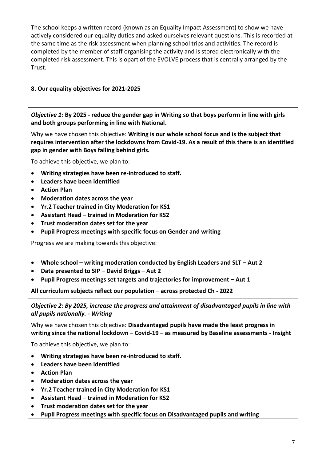The school keeps a written record (known as an Equality Impact Assessment) to show we have actively considered our equality duties and asked ourselves relevant questions. This is recorded at the same time as the risk assessment when planning school trips and activities. The record is completed by the member of staff organising the activity and is stored electronically with the completed risk assessment. This is opart of the EVOLVE process that is centrally arranged by the Trust.

# **8. Our equality objectives for 2021-2025**

*Objective 1:* **By 2025 - reduce the gender gap in Writing so that boys perform in line with girls and both groups performing in line with National.** 

Why we have chosen this objective: **Writing is our whole school focus and is the subject that requires intervention after the lockdowns from Covid-19. As a result of this there is an identified gap in gender with Boys falling behind girls.**

To achieve this objective, we plan to:

- **Writing strategies have been re-introduced to staff.**
- **Leaders have been identified**
- **Action Plan**
- **Moderation dates across the year**
- **Yr.2 Teacher trained in City Moderation for KS1**
- **Assistant Head – trained in Moderation for KS2**
- **Trust moderation dates set for the year**
- **Pupil Progress meetings with specific focus on Gender and writing**

Progress we are making towards this objective:

- **Whole school – writing moderation conducted by English Leaders and SLT – Aut 2**
- **Data presented to SIP – David Briggs – Aut 2**
- **Pupil Progress meetings set targets and trajectories for improvement – Aut 1**

**All curriculum subjects reflect our population – across protected Ch - 2022**

*Objective 2: By 2025, increase the progress and attainment of disadvantaged pupils in line with all pupils nationally. - Writing*

Why we have chosen this objective: **Disadvantaged pupils have made the least progress in writing since the national lockdown – Covid-19 – as measured by Baseline assessments - Insight**

To achieve this objective, we plan to:

- **Writing strategies have been re-introduced to staff.**
- **Leaders have been identified**
- **Action Plan**
- **Moderation dates across the year**
- **Yr.2 Teacher trained in City Moderation for KS1**
- **Assistant Head – trained in Moderation for KS2**
- **Trust moderation dates set for the year**
- **Pupil Progress meetings with specific focus on Disadvantaged pupils and writing**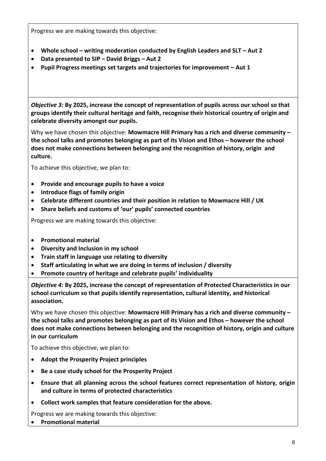Progress we are making towards this objective:

- **Whole school – writing moderation conducted by English Leaders and SLT – Aut 2**
- **Data presented to SIP – David Briggs – Aut 2**
- **Pupil Progress meetings set targets and trajectories for improvement – Aut 1**

*Objective 3:* **By 2025, increase the concept of representation of pupils across our school so that groups identify their cultural heritage and faith, recognise their historical country of origin and celebrate diversity amongst our pupils.**

Why we have chosen this objective: **Mowmacre Hill Primary has a rich and diverse community – the school talks and promotes belonging as part of its Vision and Ethos – however the school does not make connections between belonging and the recognition of history, origin and culture.**

To achieve this objective, we plan to:

- **Provide and encourage pupils to have a voice**
- **Introduce flags of family origin**
- **Celebrate different countries and their position in relation to Mowmacre Hill / UK**
- **Share beliefs and customs of 'our' pupils' connected countries**

Progress we are making towards this objective:

- **Promotional material**
- **Diversity and Inclusion in my school**
- **Train staff in language use relating to diversity**
- **Staff articulating in what we are doing in terms of inclusion / diversity**
- **Promote country of heritage and celebrate pupils' individuality**

*Objective 4:* **By 2025, increase the concept of representation of Protected Characteristics in our school curriculum so that pupils identify representation, cultural identity, and historical association.**

Why we have chosen this objective: **Mowmacre Hill Primary has a rich and diverse community – the school talks and promotes belonging as part of its Vision and Ethos – however the school does not make connections between belonging and the recognition of history, origin and culture in our curriculum**

To achieve this objective, we plan to:

- **Adopt the Prosperity Project principles**
- **Be a case study school for the Prosperity Project**
- **Ensure that all planning across the school features correct representation of history, origin and culture in terms of protected characteristics**
- **Collect work samples that feature consideration for the above.**

Progress we are making towards this objective:

• **Promotional material**